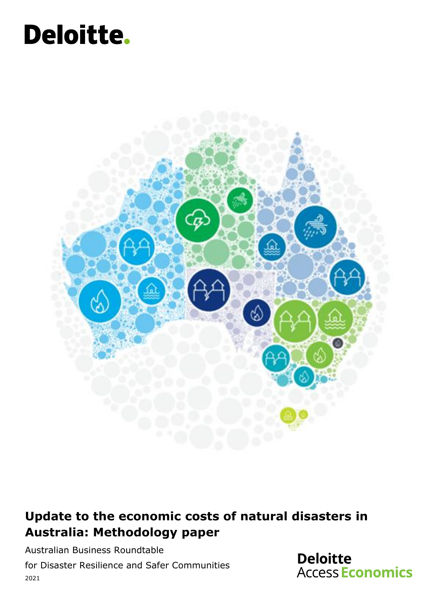# Deloitte.



### **Update to the economic costs of natural disasters in Australia: Methodology paper**

Australian Business Roundtable for Disaster Resilience and Safer Communities 2021

**Deloitte Access Economics**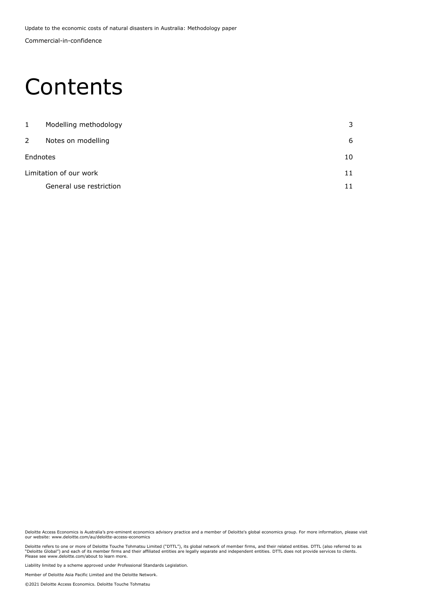Commercial-in-confidence Update to the economic costs of natural disasters in Australia: Methodology paper

### Contents

| 3  |
|----|
| 6  |
| 10 |
| 11 |
| 11 |
|    |

Deloitte Access Economics is Australia's pre-eminent economics advisory practice and a member of Deloitte's global economics group. For more information, please visit our website: www.deloitte.com/au/deloitte-access-economics

Deloitte refers to one or more of Deloitte Touche Tohmatsu Limited ("DTTL"), its global network of member firms, and their related entities. DTTL (also referred to as<br>"Deloitte Global") and each of its member firms and the

Liability limited by a scheme approved under Professional Standards Legislation.

Member of Deloitte Asia Pacific Limited and the Deloitte Network.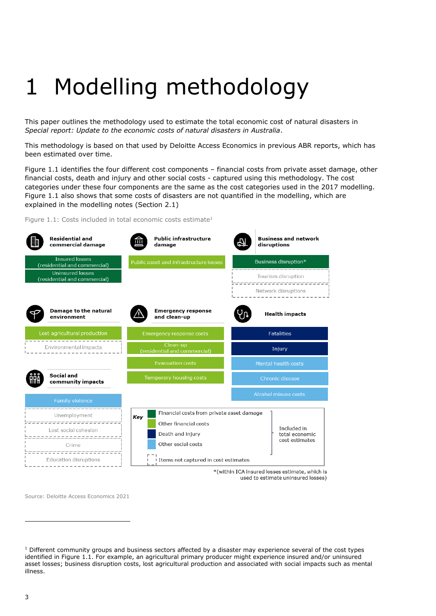## <span id="page-2-0"></span>1 Modelling methodology

This paper outlines the methodology used to estimate the total economic cost of natural disasters in *Special report: Update to the economic costs of natural disasters in Australia*.

This methodology is based on that used by Deloitte Access Economics in previous ABR reports, which has been estimated over time.

Figure 1.1 identifies the four different cost components – financial costs from private asset damage, other financial costs, death and injury and other social costs - captured using this methodology. The cost categories under these four components are the same as the cost categories used in the 2017 modelling. Figure 1.1 also shows that some costs of disasters are not quantified in the modelling, which are explained in the modelling notes (Section 2.1)

Figure 1.1: Costs included in total economic costs estimate<sup>1</sup>

| <b>Residential and</b><br>commercial damage                                                                                     | <b>Public infrastructure</b><br>damage                                                                                                                        | <b>Business and network</b><br>disruptions      |  |
|---------------------------------------------------------------------------------------------------------------------------------|---------------------------------------------------------------------------------------------------------------------------------------------------------------|-------------------------------------------------|--|
| <b>Insured losses</b><br>(residential and commercial)                                                                           | Public asset and infrastructure losses                                                                                                                        | Business disruption*                            |  |
| <b>Uninsured losses</b><br>(residential and commercial)                                                                         |                                                                                                                                                               | Tourism disruption<br><u> strataratoratara</u>  |  |
|                                                                                                                                 |                                                                                                                                                               | Network disruptions<br>-------------------      |  |
| Damage to the natural<br>environment                                                                                            | <b>Emergency response</b><br>and clean-up                                                                                                                     | <b>Health impacts</b>                           |  |
| Lost agricultural production                                                                                                    | <b>Emergency response costs</b>                                                                                                                               | <b>Fatalities</b>                               |  |
| Environmental impacts                                                                                                           | Clean-up<br>(residential and commercial)                                                                                                                      | Injury                                          |  |
|                                                                                                                                 | <b>Evacuation costs</b>                                                                                                                                       | <b>Mental health costs</b>                      |  |
| Social and<br>community impacts                                                                                                 | Temporary housing costs                                                                                                                                       | Chronic disease                                 |  |
| <b>Family violence</b>                                                                                                          |                                                                                                                                                               | Alcohol misuse costs                            |  |
| <del>-----------------</del> -<br>Unemployment<br>-------------------<br>Lost social cohesion<br>Crime<br>Education disruptions | Financial costs from private asset damage<br>Key<br>Other financial costs<br>Death and injury<br>Other social costs<br>I Items not captured in cost estimates | Included in<br>total economic<br>cost estimates |  |

used to estimate uninsured losses)

Source: Deloitte Access Economics 2021

<sup>&</sup>lt;sup>1</sup> Different community groups and business sectors affected by a disaster may experience several of the cost types identified in Figure 1.1. For example, an agricultural primary producer might experience insured and/or uninsured asset losses; business disruption costs, lost agricultural production and associated with social impacts such as mental illness.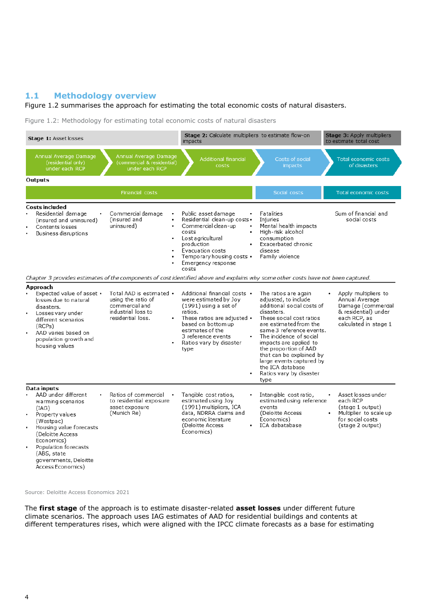#### **1.1 Methodology overview**

#### [Figure 1.2](#page-3-0) summarises the approach for estimating the total economic costs of natural disasters.

<span id="page-3-0"></span>Figure 1.2: Methodology for estimating total economic costs of natural disasters

| Stage 1: Asset losses                                                                                                                                                                                                                                               |                                                                                                             | Stage 2: Calculate multipliers to estimate flow-on<br>impacts                                                                                                                                                                                          |                                                                                                                                                                                                                                                                                                                                                                         | Stage 3: Apply multipliers<br>to estimate total cost                                                                              |
|---------------------------------------------------------------------------------------------------------------------------------------------------------------------------------------------------------------------------------------------------------------------|-------------------------------------------------------------------------------------------------------------|--------------------------------------------------------------------------------------------------------------------------------------------------------------------------------------------------------------------------------------------------------|-------------------------------------------------------------------------------------------------------------------------------------------------------------------------------------------------------------------------------------------------------------------------------------------------------------------------------------------------------------------------|-----------------------------------------------------------------------------------------------------------------------------------|
| Annual Average Damage<br>(residential only)<br>under each RCP                                                                                                                                                                                                       | Annual Average Damage<br>(commercial & residential)<br>under each RCP                                       | <b>Additional financial</b><br>costs                                                                                                                                                                                                                   | Costs of social<br>impacts                                                                                                                                                                                                                                                                                                                                              | Total economic costs<br>of disasters                                                                                              |
| Outputs                                                                                                                                                                                                                                                             |                                                                                                             |                                                                                                                                                                                                                                                        |                                                                                                                                                                                                                                                                                                                                                                         |                                                                                                                                   |
|                                                                                                                                                                                                                                                                     | Financial costs                                                                                             |                                                                                                                                                                                                                                                        | Social costs                                                                                                                                                                                                                                                                                                                                                            | Total economic costs                                                                                                              |
| Costs included<br>Residential damage<br>(insured and uninsured)<br>Contents losses<br>Business disruptions                                                                                                                                                          | Commercial damage<br>(insured and<br>uninsured)<br>٠<br>٠                                                   | Public asset damage<br>Residential clean-up costs .<br>Commercial clean-up<br>$\bullet$<br>costs<br>Lost agricultural<br>production<br>Evacuation costs<br>Temporary housing costs •<br>Emergency response<br>costs                                    | Fatalities<br>Injuries<br>Mental health impacts<br>High-risk alcohol<br>consumption<br>Exacerbated chronic<br>disease<br>Family violence                                                                                                                                                                                                                                | Sum of financial and<br>social costs                                                                                              |
| Chapter 3 provides estimates of the components of cost identified above and explains why some other costs have not been captured.                                                                                                                                   |                                                                                                             |                                                                                                                                                                                                                                                        |                                                                                                                                                                                                                                                                                                                                                                         |                                                                                                                                   |
| Approach<br>Expected value of asset •<br>losses due to natural<br>disasters.<br>Losses vary under<br>٠<br>different scenarios<br>(RCPs)<br>AAD varies based on<br>٠<br>population growth and<br>housing values                                                      | Total AAD is estimated •<br>using the ratio of<br>commercial and<br>industrial loss to<br>residential loss. | Additional financial costs •<br>were estimated by Joy<br>$(1991)$ using a set of<br>ratios.<br>These ratios are adjusted •<br>based on bottomup<br>estimates of the<br>3 reference events<br>$\bullet$<br>Ratios vary by disaster<br>type<br>$\bullet$ | The ratios are again<br>adjusted, to include<br>additional social costs of<br>disasters.<br>These social cost ratios<br>are estimated from the<br>same 3 reference events.<br>The incidence of social<br>impacts are applied to<br>the proportion of AAD<br>that can be explained by<br>large events captured by<br>the ICA database<br>Ratios vary by disaster<br>type | Apply multipliers to<br>Annual Average<br>Damage (commercial<br>& residential) under<br>each RCP, as<br>calculated in stage 1     |
| <b>Data</b> inputs<br>AAD under different<br>warming scenarios<br>(IAG)<br>Property values<br>٠<br>(Westpac)<br>Housing value forecasts<br>(Deloitte Access<br>Economics)<br>Population forecasts<br>٠<br>(ABS, state<br>governments, Deloitte<br>Access Economics) | Ratios of commercial<br>to residential exposure<br>asset exposure<br>(Munich Re)                            | Tangible cost ratios,<br>estimated using Joy<br>(1991) multipliers, ICA<br>data, NDRRA claims and<br>economic literature<br>(Deloitte Access<br>Economics)                                                                                             | Intangible cost ratio,<br>estimated using reference<br>events<br>(Deloitte Access<br>Economics)<br>ICA dabatabase                                                                                                                                                                                                                                                       | Asset losses under<br>each RCP<br>(stage 1 output)<br>Multiplier to scale up<br>$\bullet$<br>for social costs<br>(stage 2 output) |

Source: Deloitte Access Economics 2021

The **first stage** of the approach is to estimate disaster-related **asset losses** under different future climate scenarios. The approach uses IAG estimates of AAD for residential buildings and contents at different temperatures rises, which were aligned with the IPCC climate forecasts as a base for estimating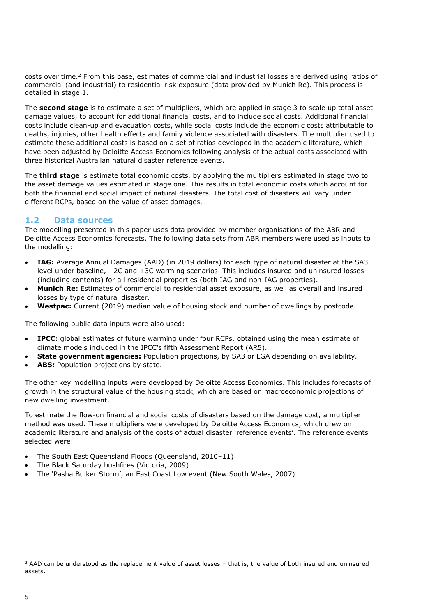costs over time.<sup>2</sup> From this base, estimates of commercial and industrial losses are derived using ratios of commercial (and industrial) to residential risk exposure (data provided by Munich Re). This process is detailed in stage 1.

The **second stage** is to estimate a set of multipliers, which are applied in stage 3 to scale up total asset damage values, to account for additional financial costs, and to include social costs. Additional financial costs include clean-up and evacuation costs, while social costs include the economic costs attributable to deaths, injuries, other health effects and family violence associated with disasters. The multiplier used to estimate these additional costs is based on a set of ratios developed in the academic literature, which have been adjusted by Deloitte Access Economics following analysis of the actual costs associated with three historical Australian natural disaster reference events.

The **third stage** is estimate total economic costs, by applying the multipliers estimated in stage two to the asset damage values estimated in stage one. This results in total economic costs which account for both the financial and social impact of natural disasters. The total cost of disasters will vary under different RCPs, based on the value of asset damages.

#### **1.2 Data sources**

The modelling presented in this paper uses data provided by member organisations of the ABR and Deloitte Access Economics forecasts. The following data sets from ABR members were used as inputs to the modelling:

- **IAG:** Average Annual Damages (AAD) (in 2019 dollars) for each type of natural disaster at the SA3 level under baseline, +2C and +3C warming scenarios. This includes insured and uninsured losses (including contents) for all residential properties (both IAG and non-IAG properties).
- **Munich Re:** Estimates of commercial to residential asset exposure, as well as overall and insured losses by type of natural disaster.
- **Westpac:** Current (2019) median value of housing stock and number of dwellings by postcode.

The following public data inputs were also used:

- **IPCC:** global estimates of future warming under four RCPs, obtained using the mean estimate of climate models included in the IPCC's fifth Assessment Report (AR5).
- **State government agencies:** Population projections, by SA3 or LGA depending on availability.
- **ABS:** Population projections by state.

The other key modelling inputs were developed by Deloitte Access Economics. This includes forecasts of growth in the structural value of the housing stock, which are based on macroeconomic projections of new dwelling investment.

To estimate the flow-on financial and social costs of disasters based on the damage cost, a multiplier method was used. These multipliers were developed by Deloitte Access Economics, which drew on academic literature and analysis of the costs of actual disaster 'reference events'. The reference events selected were:

- The South East Queensland Floods (Queensland, 2010–11)
- The Black Saturday bushfires (Victoria, 2009)
- The 'Pasha Bulker Storm', an East Coast Low event (New South Wales, 2007)

<sup>&</sup>lt;sup>2</sup> AAD can be understood as the replacement value of asset losses - that is, the value of both insured and uninsured assets.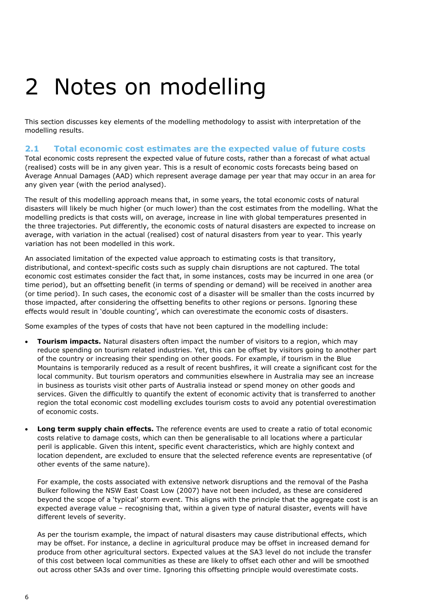## <span id="page-5-0"></span>2 Notes on modelling

This section discusses key elements of the modelling methodology to assist with interpretation of the modelling results.

#### **2.1 Total economic cost estimates are the expected value of future costs**

Total economic costs represent the expected value of future costs, rather than a forecast of what actual (realised) costs will be in any given year. This is a result of economic costs forecasts being based on Average Annual Damages (AAD) which represent average damage per year that may occur in an area for any given year (with the period analysed).

The result of this modelling approach means that, in some years, the total economic costs of natural disasters will likely be much higher (or much lower) than the cost estimates from the modelling. What the modelling predicts is that costs will, on average, increase in line with global temperatures presented in the three trajectories. Put differently, the economic costs of natural disasters are expected to increase on average, with variation in the actual (realised) cost of natural disasters from year to year. This yearly variation has not been modelled in this work.

An associated limitation of the expected value approach to estimating costs is that transitory, distributional, and context-specific costs such as supply chain disruptions are not captured. The total economic cost estimates consider the fact that, in some instances, costs may be incurred in one area (or time period), but an offsetting benefit (in terms of spending or demand) will be received in another area (or time period). In such cases, the economic cost of a disaster will be smaller than the costs incurred by those impacted, after considering the offsetting benefits to other regions or persons. Ignoring these effects would result in 'double counting', which can overestimate the economic costs of disasters.

Some examples of the types of costs that have not been captured in the modelling include:

- **Tourism impacts.** Natural disasters often impact the number of visitors to a region, which may reduce spending on tourism related industries. Yet, this can be offset by visitors going to another part of the country or increasing their spending on other goods. For example, if tourism in the Blue Mountains is temporarily reduced as a result of recent bushfires, it will create a significant cost for the local community. But tourism operators and communities elsewhere in Australia may see an increase in business as tourists visit other parts of Australia instead or spend money on other goods and services. Given the difficultly to quantify the extent of economic activity that is transferred to another region the total economic cost modelling excludes tourism costs to avoid any potential overestimation of economic costs.
- **Long term supply chain effects.** The reference events are used to create a ratio of total economic costs relative to damage costs, which can then be generalisable to all locations where a particular peril is applicable. Given this intent, specific event characteristics, which are highly context and location dependent, are excluded to ensure that the selected reference events are representative (of other events of the same nature).

For example, the costs associated with extensive network disruptions and the removal of the Pasha Bulker following the NSW East Coast Low (2007) have not been included, as these are considered beyond the scope of a 'typical' storm event. This aligns with the principle that the aggregate cost is an expected average value – recognising that, within a given type of natural disaster, events will have different levels of severity.

As per the tourism example, the impact of natural disasters may cause distributional effects, which may be offset. For instance, a decline in agricultural produce may be offset in increased demand for produce from other agricultural sectors. Expected values at the SA3 level do not include the transfer of this cost between local communities as these are likely to offset each other and will be smoothed out across other SA3s and over time. Ignoring this offsetting principle would overestimate costs.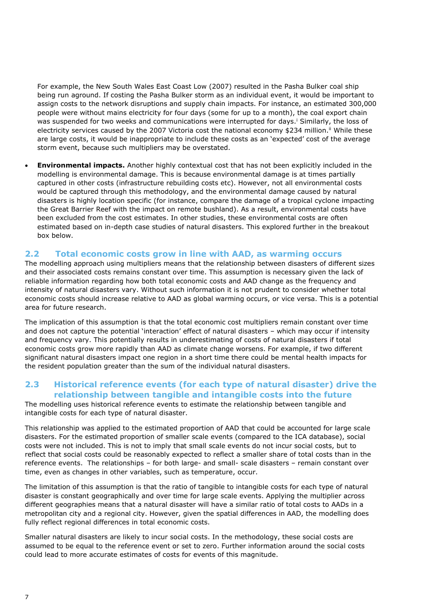For example, the New South Wales East Coast Low (2007) resulted in the Pasha Bulker coal ship being run aground. If costing the Pasha Bulker storm as an individual event, it would be important to assign costs to the network disruptions and supply chain impacts. For instance, an estimated 300,000 people were without mains electricity for four days (some for up to a month), the coal export chain was suspended for two weeks and communications were interrupted for days.<sup>i</sup> Similarly, the loss of electricity services caused by the 2007 Victoria cost the national economy \$234 million.<sup>ii</sup> While these are large costs, it would be inappropriate to include these costs as an 'expected' cost of the average storm event, because such multipliers may be overstated.

• **Environmental impacts.** Another highly contextual cost that has not been explicitly included in the modelling is environmental damage. This is because environmental damage is at times partially captured in other costs (infrastructure rebuilding costs etc). However, not all environmental costs would be captured through this methodology, and the environmental damage caused by natural disasters is highly location specific (for instance, compare the damage of a tropical cyclone impacting the Great Barrier Reef with the impact on remote bushland). As a result, environmental costs have been excluded from the cost estimates. In other studies, these environmental costs are often estimated based on in-depth case studies of natural disasters. This explored further in the breakout box below.

#### **2.2 Total economic costs grow in line with AAD, as warming occurs**

The modelling approach using multipliers means that the relationship between disasters of different sizes and their associated costs remains constant over time. This assumption is necessary given the lack of reliable information regarding how both total economic costs and AAD change as the frequency and intensity of natural disasters vary. Without such information it is not prudent to consider whether total economic costs should increase relative to AAD as global warming occurs, or vice versa. This is a potential area for future research.

The implication of this assumption is that the total economic cost multipliers remain constant over time and does not capture the potential 'interaction' effect of natural disasters – which may occur if intensity and frequency vary. This potentially results in underestimating of costs of natural disasters if total economic costs grow more rapidly than AAD as climate change worsens. For example, if two different significant natural disasters impact one region in a short time there could be mental health impacts for the resident population greater than the sum of the individual natural disasters.

#### **2.3 Historical reference events (for each type of natural disaster) drive the relationship between tangible and intangible costs into the future**

The modelling uses historical reference events to estimate the relationship between tangible and intangible costs for each type of natural disaster.

This relationship was applied to the estimated proportion of AAD that could be accounted for large scale disasters. For the estimated proportion of smaller scale events (compared to the ICA database), social costs were not included. This is not to imply that small scale events do not incur social costs, but to reflect that social costs could be reasonably expected to reflect a smaller share of total costs than in the reference events. The relationships – for both large- and small- scale disasters – remain constant over time, even as changes in other variables, such as temperature, occur.

The limitation of this assumption is that the ratio of tangible to intangible costs for each type of natural disaster is constant geographically and over time for large scale events. Applying the multiplier across different geographies means that a natural disaster will have a similar ratio of total costs to AADs in a metropolitan city and a regional city. However, given the spatial differences in AAD, the modelling does fully reflect regional differences in total economic costs.

Smaller natural disasters are likely to incur social costs. In the methodology, these social costs are assumed to be equal to the reference event or set to zero. Further information around the social costs could lead to more accurate estimates of costs for events of this magnitude.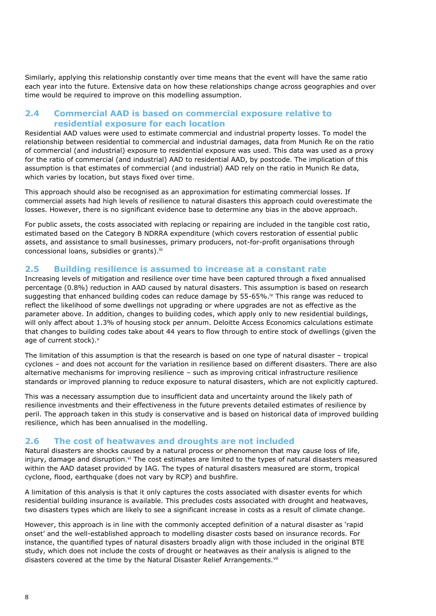Similarly, applying this relationship constantly over time means that the event will have the same ratio each year into the future. Extensive data on how these relationships change across geographies and over time would be required to improve on this modelling assumption.

#### **2.4 Commercial AAD is based on commercial exposure relative to residential exposure for each location**

Residential AAD values were used to estimate commercial and industrial property losses. To model the relationship between residential to commercial and industrial damages, data from Munich Re on the ratio of commercial (and industrial) exposure to residential exposure was used. This data was used as a proxy for the ratio of commercial (and industrial) AAD to residential AAD, by postcode. The implication of this assumption is that estimates of commercial (and industrial) AAD rely on the ratio in Munich Re data, which varies by location, but stays fixed over time.

This approach should also be recognised as an approximation for estimating commercial losses. If commercial assets had high levels of resilience to natural disasters this approach could overestimate the losses. However, there is no significant evidence base to determine any bias in the above approach.

For public assets, the costs associated with replacing or repairing are included in the tangible cost ratio, estimated based on the Category B NDRRA expenditure (which covers restoration of essential public assets, and assistance to small businesses, primary producers, not-for-profit organisations through concessional loans, subsidies or grants).<sup>iii</sup>

#### **2.5 Building resilience is assumed to increase at a constant rate**

Increasing levels of mitigation and resilience over time have been captured through a fixed annualised percentage (0.8%) reduction in AAD caused by natural disasters. This assumption is based on research suggesting that enhanced building codes can reduce damage by 55-65%.<sup>iv</sup> This range was reduced to reflect the likelihood of some dwellings not upgrading or where upgrades are not as effective as the parameter above. In addition, changes to building codes, which apply only to new residential buildings, will only affect about 1.3% of housing stock per annum. Deloitte Access Economics calculations estimate that changes to building codes take about 44 years to flow through to entire stock of dwellings (given the age of current stock).<sup>v</sup>

The limitation of this assumption is that the research is based on one type of natural disaster – tropical cyclones – and does not account for the variation in resilience based on different disasters. There are also alternative mechanisms for improving resilience – such as improving critical infrastructure resilience standards or improved planning to reduce exposure to natural disasters, which are not explicitly captured.

This was a necessary assumption due to insufficient data and uncertainty around the likely path of resilience investments and their effectiveness in the future prevents detailed estimates of resilience by peril. The approach taken in this study is conservative and is based on historical data of improved building resilience, which has been annualised in the modelling.

#### **2.6 The cost of heatwaves and droughts are not included**

Natural disasters are shocks caused by a natural process or phenomenon that may cause loss of life, injury, damage and disruption.<sup>vi</sup> The cost estimates are limited to the types of natural disasters measured within the AAD dataset provided by IAG. The types of natural disasters measured are storm, tropical cyclone, flood, earthquake (does not vary by RCP) and bushfire.

A limitation of this analysis is that it only captures the costs associated with disaster events for which residential building insurance is available. This precludes costs associated with drought and heatwaves, two disasters types which are likely to see a significant increase in costs as a result of climate change.

However, this approach is in line with the commonly accepted definition of a natural disaster as 'rapid onset' and the well-established approach to modelling disaster costs based on insurance records. For instance, the quantified types of natural disasters broadly align with those included in the original BTE study, which does not include the costs of drought or heatwaves as their analysis is aligned to the disasters covered at the time by the Natural Disaster Relief Arrangements.<sup>vii</sup>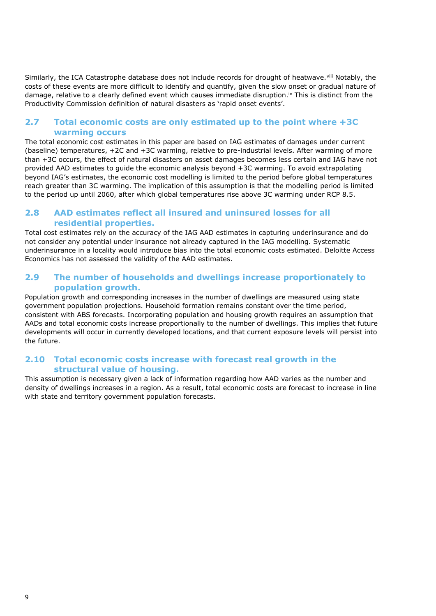Similarly, the ICA Catastrophe database does not include records for drought of heatwave. Vill Notably, the costs of these events are more difficult to identify and quantify, given the slow onset or gradual nature of damage, relative to a clearly defined event which causes immediate disruption.<sup>ix</sup> This is distinct from the Productivity Commission definition of natural disasters as 'rapid onset events'.

#### **2.7 Total economic costs are only estimated up to the point where +3C warming occurs**

The total economic cost estimates in this paper are based on IAG estimates of damages under current (baseline) temperatures, +2C and +3C warming, relative to pre-industrial levels. After warming of more than +3C occurs, the effect of natural disasters on asset damages becomes less certain and IAG have not provided AAD estimates to guide the economic analysis beyond +3C warming. To avoid extrapolating beyond IAG's estimates, the economic cost modelling is limited to the period before global temperatures reach greater than 3C warming. The implication of this assumption is that the modelling period is limited to the period up until 2060, after which global temperatures rise above 3C warming under RCP 8.5.

#### **2.8 AAD estimates reflect all insured and uninsured losses for all residential properties.**

Total cost estimates rely on the accuracy of the IAG AAD estimates in capturing underinsurance and do not consider any potential under insurance not already captured in the IAG modelling. Systematic underinsurance in a locality would introduce bias into the total economic costs estimated. Deloitte Access Economics has not assessed the validity of the AAD estimates.

#### **2.9 The number of households and dwellings increase proportionately to population growth.**

Population growth and corresponding increases in the number of dwellings are measured using state government population projections. Household formation remains constant over the time period, consistent with ABS forecasts. Incorporating population and housing growth requires an assumption that AADs and total economic costs increase proportionally to the number of dwellings. This implies that future developments will occur in currently developed locations, and that current exposure levels will persist into the future.

#### **2.10 Total economic costs increase with forecast real growth in the structural value of housing.**

This assumption is necessary given a lack of information regarding how AAD varies as the number and density of dwellings increases in a region. As a result, total economic costs are forecast to increase in line with state and territory government population forecasts.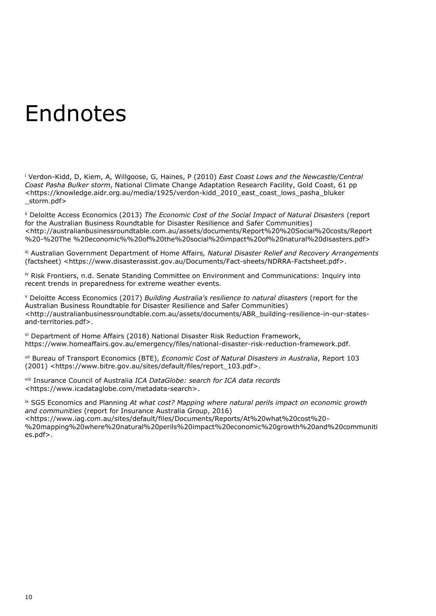### <span id="page-9-0"></span>Endnotes

<sup>i</sup> Verdon-Kidd, D, Kiem, A, Willgoose, G, Haines, P (2010) *East Coast Lows and the Newcastle/Central Coast Pasha Bulker storm*, National Climate Change Adaptation Research Facility, Gold Coast, 61 pp <https://knowledge.aidr.org.au/media/1925/verdon-kidd\_2010\_east\_coast\_lows\_pasha\_bluker \_storm.pdf>

ii Deloitte Access Economics (2013) *The Economic Cost of the Social Impact of Natural Disasters* (report for the Australian Business Roundtable for Disaster Resilience and Safer Communities) <http://australianbusinessroundtable.com.au/assets/documents/Report%20%20Social%20costs/Report %20-%20The %20economic%%20of%20the%20social%20impact%20of%20natural%20disasters.pdf>

iii Australian Government Department of Home Affairs*, Natural Disaster Relief and Recovery Arrangements* (factsheet) <https://www.disasterassist.gov.au/Documents/Fact-sheets/NDRRA-Factsheet.pdf>.

iv Risk Frontiers, n.d. Senate Standing Committee on Environment and Communications: Inquiry into recent trends in preparedness for extreme weather events.

<sup>v</sup> Deloitte Access Economics (2017) *Building Australia's resilience to natural disasters* (report for the Australian Business Roundtable for Disaster Resilience and Safer Communities) <http://australianbusinessroundtable.com.au/assets/documents/ABR\_building-resilience-in-our-statesand-territories.pdf>.

vi Department of Home Affairs (2018) National Disaster Risk Reduction Framework, https://www.homeaffairs.gov.au/emergency/files/national-disaster-risk-reduction-framework.pdf.

vii Bureau of Transport Economics (BTE), *Economic Cost of Natural Disasters in Australia*, Report 103 (2001) <https://www.bitre.gov.au/sites/default/files/report\_103.pdf>.

viii Insurance Council of Australia *ICA DataGlobe: search for ICA data records*  <https://www.icadataglobe.com/metadata-search>.

ix SGS Economics and Planning *At what cost? Mapping where natural perils impact on economic growth and communities* (report for Insurance Australia Group, 2016) <https://www.iag.com.au/sites/default/files/Documents/Reports/At%20what%20cost%20- %20mapping%20where%20natural%20perils%20impact%20economic%20growth%20and%20communiti es.pdf>.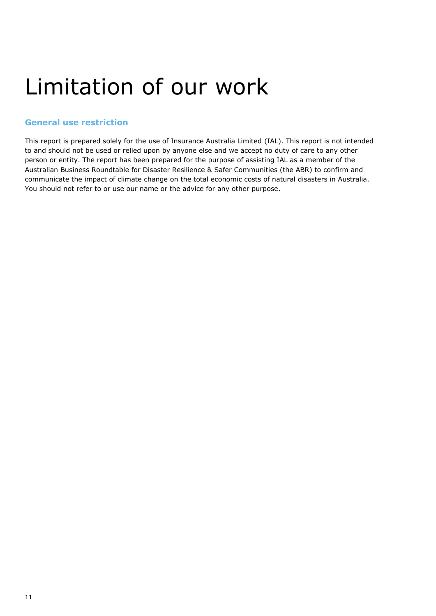## <span id="page-10-0"></span>Limitation of our work

#### <span id="page-10-1"></span>**General use restriction**

This report is prepared solely for the use of Insurance Australia Limited (IAL). This report is not intended to and should not be used or relied upon by anyone else and we accept no duty of care to any other person or entity. The report has been prepared for the purpose of assisting IAL as a member of the Australian Business Roundtable for Disaster Resilience & Safer Communities (the ABR) to confirm and communicate the impact of climate change on the total economic costs of natural disasters in Australia. You should not refer to or use our name or the advice for any other purpose.